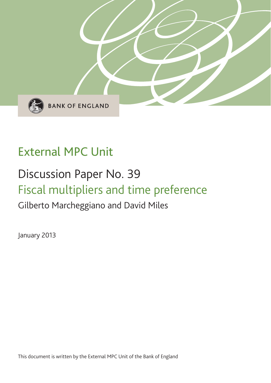

# External MPC Unit

# Discussion Paper No. 39 Fiscal multipliers and time preference

## Gilberto Marcheggiano and David Miles

January 2013

This document is written by the External MPC Unit of the Bank of England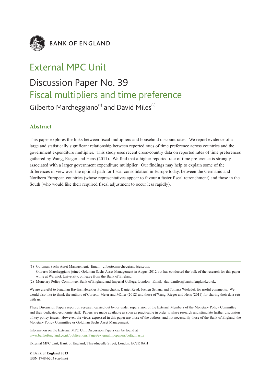

**BANK OF ENGLAND** 

### External MPC Unit

## Discussion Paper No. 39 Fiscal multipliers and time preference Gilberto Marcheggiano<sup>(1)</sup> and David Miles<sup>(2)</sup>

#### **Abstract**

This paper explores the links between fiscal multipliers and household discount rates. We report evidence of a large and statistically significant relationship between reported rates of time preference across countries and the government expenditure multiplier. This study uses recent cross-country data on reported rates of time preferences gathered by Wang, Rieger and Hens (2011). We find that a higher reported rate of time preference is strongly associated with a larger government expenditure multiplier. Our findings may help to explain some of the differences in view over the optimal path for fiscal consolidation in Europe today, between the Germanic and Northern European countries (whose representatives appear to favour a faster fiscal retrenchment) and those in the South (who would like their required fiscal adjustment to occur less rapidly).

(1) Goldman Sachs Asset Management. Email: gilberto.marcheggiano@gs.com.

Gilberto Marcheggiano joined Goldman Sachs Asset Management in August 2012 but has conducted the bulk of the research for this paper while at Warwick University, on leave from the Bank of England.

(2) Monetary Policy Committee, Bank of England and Imperial College, London. Email: david.miles@bankofengland.co.uk.

We are grateful to Jonathan Bayliss, Herakles Polemarchakis, Daniel Read, Jochen Schanz and Tomasz Wieladek for useful comments. We would also like to thank the authors of Corsetti, Meier and Müller (2012) and those of Wang, Rieger and Hens (2011) for sharing their data sets with us.

These Discussion Papers report on research carried out by, or under supervision of the External Members of the Monetary Policy Committee and their dedicated economic staff. Papers are made available as soon as practicable in order to share research and stimulate further discussion of key policy issues. However, the views expressed in this paper are those of the authors, and not necessarily those of the Bank of England, the Monetary Policy Committee or Goldman Sachs Asset Management.

Information on the External MPC Unit Discussion Papers can be found at www.bankofengland.co.uk/publications/Pages/externalmpcpapers/default.aspx

External MPC Unit, Bank of England, Threadneedle Street, London, EC2R 8AH

**© Bank of England 2013** ISSN 1748-6203 (on-line)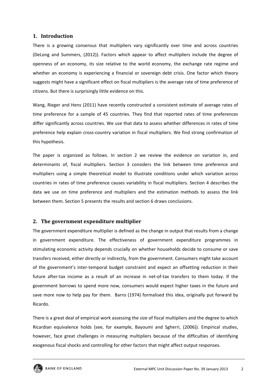#### **1. Introduction**

There is a growing consensus that multipliers vary significantly over time and across countries (DeLong and Summers, (2012)). Factors which appear to affect multipliers include the degree of openness of an economy, its size relative to the world economy, the exchange rate regime and whether an economy is experiencing a financial or sovereign debt crisis. One factor which theory suggests might have a significant effect on fiscal multipliers is the average rate of time preference of citizens. But there is surprisingly little evidence on this.

Wang, Rieger and Hens (2011) have recently constructed a consistent estimate of average rates of time preference for a sample of 45 countries. They find that reported rates of time preferences differ significantly across countries. We use that data to assess whether differences in rates of time preference help explain cross-country variation in fiscal multipliers. We find strong confirmation of this hypothesis.

The paper is organized as follows. In section 2 we review the evidence on variation in, and determinants of, fiscal multipliers. Section 3 considers the link between time preference and multipliers using a simple theoretical model to illustrate conditions under which variation across countries in rates of time preference causes variability in fiscal multipliers. Section 4 describes the data we use on time preference and multipliers and the estimation methods to assess the link between them. Section 5 presents the results and section 6 draws conclusions.

#### **2. The government expenditure multiplier**

The government expenditure multiplier is defined as the change in output that results from a change in government expenditure. The effectiveness of government expenditure programmes in stimulating economic activity depends crucially on whether households decide to consume or save transfers received, either directly or indirectly, from the government. Consumers might take account of the government's inter‐temporal budget constraint and expect an offsetting reduction in their future after-tax income as a result of an increase in net-of-tax transfers to them today. If the government borrows to spend more now, consumers would expect higher taxes in the future and save more now to help pay for them. Barro (1974) formalised this idea, originally put forward by Ricardo.

There is a great deal of empirical work assessing the size of fiscal multipliers and the degree to which Ricardian equivalence holds (see, for example, Bayoumi and Sgherri, (2006)). Empirical studies, however, face great challenges in measuring multipliers because of the difficulties of identifying exogenous fiscal shocks and controlling for other factors that might affect output responses.

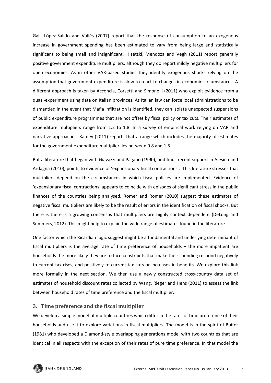Galí, López-Salido and Vallés (2007) report that the response of consumption to an exogenous increase in government spending has been estimated to vary from being large and statistically significant to being small and insignificant. Ilzetzki, Mendoza and Vegh (2011) report generally positive government expenditure multipliers, although they do report mildly negative multipliers for open economies. As in other VAR‐based studies they identify exogenous shocks relying on the assumption that government expenditure is slow to react to changes in economic circumstances. A different approach is taken by Acconcia, Corsetti and Simonelli (2011) who exploit evidence from a quasi‐experiment using data on Italian provinces. As Italian law can force local administrations to be dismantled in the event that Mafia infiltration is identified, they can isolate unexpected suspensions of public expenditure programmes that are not offset by fiscal policy or tax cuts. Their estimates of expenditure multipliers range from 1.2 to 1.8. In a survey of empirical work relying on VAR and narrative approaches, Ramey (2011) reports that a range which includes the majority of estimates for the government expenditure multiplier lies between 0.8 and 1.5.

But a literature that began with Giavazzi and Pagano (1990), and finds recent support in Alesina and Ardagna (2010), points to evidence of 'expansionary fiscal contractions'. This literature stresses that multipliers depend on the circumstances in which fiscal policies are implemented. Evidence of 'expansionary fiscal contractions' appears to coincide with episodes of significant stress in the public finances of the countries being analysed. Romer and Romer (2010) suggest these estimates of negative fiscal multipliers are likely to be the result of errors in the identification of fiscal shocks. But there is there is a growing consensus that multipliers are highly context dependent (DeLong and Summers, 2012). This might help to explain the wide range of estimates found in the literature.

One factor which the Ricardian logic suggest might be a fundamental and underlying determinant of fiscal multipliers is the average rate of time preference of households – the more impatient are households the more likely they are to face constraints that make their spending respond negatively to current tax rises, and positively to current tax cuts or increases in benefits. We explore this link more formally in the next section. We then use a newly constructed cross-country data set of estimates of household discount rates collected by Wang, Rieger and Hens (2011) to assess the link between household rates of time preference and the fiscal multiplier.

#### **3. Time preference and the fiscal multiplier**

We develop a simple model of multiple countries which differ in the rates of time preference of their households and use it to explore variations in fiscal multipliers. The model is in the spirit of Buiter (1981) who developed a Diamond‐style overlapping generations model with two countries that are identical in all respects with the exception of their rates of pure time preference. In that model the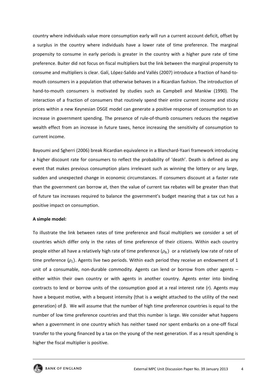country where individuals value more consumption early will run a current account deficit, offset by a surplus in the country where individuals have a lower rate of time preference. The marginal propensity to consume in early periods is greater in the country with a higher pure rate of time preference. Buiter did not focus on fiscal multipliers but the link between the marginal propensity to consume and multipliers is clear. Galí, López‐Salido and Vallés (2007) introduce a fraction of hand‐to‐ mouth consumers in a population that otherwise behaves in a Ricardian fashion. The introduction of hand-to-mouth consumers is motivated by studies such as Campbell and Mankiw (1990). The interaction of a fraction of consumers that routinely spend their entire current income and sticky prices within a new Keynesian DSGE model can generate a positive response of consumption to an increase in government spending. The presence of rule‐of‐thumb consumers reduces the negative wealth effect from an increase in future taxes, hence increasing the sensitivity of consumption to current income.

Bayoumi and Sgherri (2006) break Ricardian equivalence in a Blanchard‐Yaari framework introducing a higher discount rate for consumers to reflect the probability of 'death'. Death is defined as any event that makes previous consumption plans irrelevant such as winning the lottery or any large, sudden and unexpected change in economic circumstances. If consumers discount at a faster rate than the government can borrow at, then the value of current tax rebates will be greater than that of future tax increases required to balance the government's budget meaning that a tax cut has a positive impact on consumption.

#### **A simple model:**

To illustrate the link between rates of time preference and fiscal multipliers we consider a set of countries which differ only in the rates of time preference of their citizens. Within each country people either all have a relatively high rate of time preference  $(\rho_h)$  or a relatively low rate of rate of time preference  $(\rho_l)$ . Agents live two periods. Within each period they receive an endowment of 1 unit of a consumable, non-durable commodity. Agents can lend or borrow from other agents – either within their own country or with agents in another country. Agents enter into binding contracts to lend or borrow units of the consumption good at a real interest rate (r). Agents may have a bequest motive, with a bequest intensity (that is a weight attached to the utility of the next generation) of β. We will assume that the number of high time preference countries is equal to the number of low time preference countries and that this number is large. We consider what happens when a government in one country which has neither taxed nor spent embarks on a one-off fiscal transfer to the young financed by a tax on the young of the next generation. If as a result spending is higher the fiscal multiplier is positive.

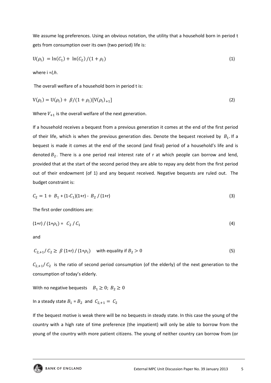We assume log preferences. Using an obvious notation, the utility that a household born in period t gets from consumption over its own (two period) life is:

$$
U(\rho_i) = \ln(C_1) + \ln(C_2)/(1 + \rho_i)
$$
\n(1)

where i =*l,h*.

The overall welfare of a household born in period t is:

$$
V(\rho_i) = U(\rho_i) + \beta/(1 + \rho_i)[V(\rho_i)_{+1}]
$$
\n(2)

Where  $V_{+1}$  is the overall welfare of the next generation.

If a household receives a bequest from a previous generation it comes at the end of the first period of their life, which is when the previous generation dies. Denote the bequest received by  $B_1$ . If a bequest is made it comes at the end of the second (and final) period of a household's life and is denoted  $B_2$ . There is a one period real interest rate of r at which people can borrow and lend, provided that at the start of the second period they are able to repay any debt from the first period out of their endowment (of 1) and any bequest received. Negative bequests are ruled out. The budget constraint is:

$$
C_2 = 1 + B_1 + (1 - C_1)(1 + r) - B_2 / (1 + r)
$$
\n(3)

The first order conditions are:

$$
(1+r)/(1+\rho_i) = C_2 / C_1 \tag{4}
$$

and

$$
C_{2,+1}/C_2 \ge \beta (1+r)/(1+\rho_i) \quad \text{with equality if } B_2 > 0 \tag{5}
$$

 $C_{2,+1}/ C_2$  is the ratio of second period consumption (of the elderly) of the next generation to the consumption of today's elderly.

With no negative bequests  $B_1 \geq 0$ ;  $B_2 \geq 0$ 

In a steady state  $B_1 = B_2$  and  $C_{2,+1} = C_2$ 

If the bequest motive is weak there will be no bequests in steady state. In this case the young of the country with a high rate of time preference (the impatient) will only be able to borrow from the young of the country with more patient citizens. The young of neither country can borrow from (or

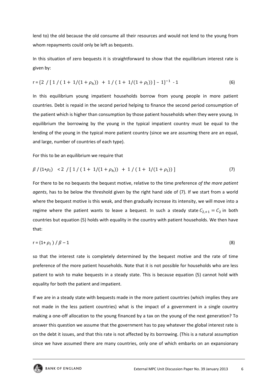lend to) the old because the old consume all their resources and would not lend to the young from whom repayments could only be left as bequests.

In this situation of zero bequests it is straightforward to show that the equilibrium interest rate is given by:

$$
r = \{2 / [1 / (1 + 1/(1 + \rho_h)) + 1 / (1 + 1/(1 + \rho_l))] - 1\}^{-1} - 1
$$
\n(6)

In this equilibrium young impatient households borrow from young people in more patient countries. Debt is repaid in the second period helping to finance the second period consumption of the patient which is higher than consumption by those patient households when they were young. In equilibrium the borrowing by the young in the typical impatient country must be equal to the lending of the young in the typical more patient country (since we are assuming there are an equal, and large, number of countries of each type).

For this to be an equilibrium we require that

$$
\beta / (1 + \rho_l) < 2 / [1 / (1 + 1/(1 + \rho_h)) + 1 / (1 + 1/(1 + \rho_l))]
$$
\n<sup>(7)</sup>

For there to be no bequests the bequest motive, relative to the time preference *of the more patient agents*, has to be below the threshold given by the right hand side of (7). If we start from a world where the bequest motive is this weak, and then gradually increase its intensity, we will move into a regime where the patient wants to leave a bequest. In such a steady state  $C_{2,+1} = C_2$  in both countries but equation (5) holds with equality in the country with patient households. We then have that:

$$
r = (1 + \rho_l) / \beta - 1 \tag{8}
$$

so that the interest rate is completely determined by the bequest motive and the rate of time preference of the more patient households. Note that it is not possible for households who are less patient to wish to make bequests in a steady state. This is because equation (5) cannot hold with equality for both the patient and impatient.

If we are in a steady state with bequests made in the more patient countries (which implies they are not made in the less patient countries) what is the impact of a government in a single country making a one-off allocation to the young financed by a tax on the young of the next generation? To answer this question we assume that the government has to pay whatever the global interest rate is on the debt it issues, and that this rate is not affected by its borrowing. (This is a natural assumption since we have assumed there are many countries, only one of which embarks on an expansionary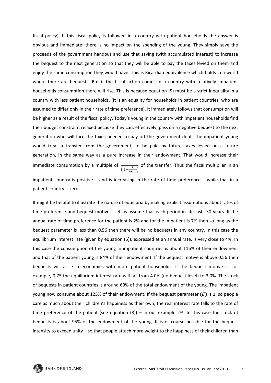fiscal policy). If this fiscal policy is followed in a country with patient households the answer is obvious and immediate: there is no impact on the spending of the young. They simply save the proceeds of the government handout and use that saving (with accumulated interest) to increase the bequest to the next generation so that they will be able to pay the taxes levied on them and enjoy the same consumption they would have. This is Ricardian equivalence which holds in a world where there are bequests. But if the fiscal action comes in a country with relatively impatient households consumption there will rise. This is because equation (5) must be a strict inequality in a country with less patient households. (It is an equality for households in patient countries, who are assumed to differ only in their rate of time preference). It immediately follows that consumption will be higher as a result of the fiscal policy. Today's young in the country with impatient households find their budget constraint relaxed because they can, effectively, pass on a negative bequest to the next generation who will face the taxes needed to pay off the government debt. The impatient young would treat a transfer from the government, to be paid by future taxes levied on a future generation, in the same way as a pure increase in their endowment. That would increase their immediate consumption by a multiple of  $\frac{1}{\left(1+\frac{1}{1+\rho_h}\right)}$  of the transfer. Thus the fiscal multiplier in an impatient country is positive – and is increasing in the rate of time preference – while that in a

patient country is zero.

It might be helpful to illustrate the nature of equilibria by making explicit assumptions about rates of time preference and bequest motives. Let us assume that each period in life lasts 30 years. If the annual rate of time preference for the patient is 2% and for the impatient is 7% then so long as the bequest parameter is less than 0.56 then there will be no bequests in any country. In this case the equilibrium interest rate (given by equation (6)), expressed at an annual rate, is very close to 4%. In this case the consumption of the young in impatient countries is about 116% of their endowment and that of the patient young is 84% of their endowment. If the bequest motive is above 0.56 then bequests will arise in economies with more patient households. If the bequest motive is, for example, 0.75 the equilibrium interest rate will fall from 4.0% (no bequest level) to 3.0%. The stock of bequests in patient countries is around 60% of the total endowment of the young. The impatient young now consume about 125% of their endowment. If the bequest parameter  $(\beta)$  is 1, so people care as much about their children's happiness as their own, the real interest rate falls to the rate of time preference of the patient (see equation (8)) – in our example 2%. In this case the stock of bequests is about 95% of the endowment of the young. It is of course possible for the bequest intensity to exceed unity – so that people attach more weight to the happiness of their children than

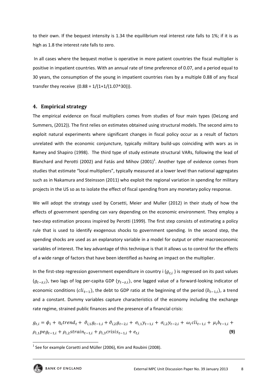to their own. If the bequest intensity is 1.34 the equilibrium real interest rate falls to 1%; if it is as high as 1.8 the interest rate falls to zero.

In all cases where the bequest motive is operative in more patient countries the fiscal multiplier is positive in impatient countries. With an annual rate of time preference of 0.07, and a period equal to 30 years, the consumption of the young in impatient countries rises by a multiple 0.88 of any fiscal transfer they receive  $(0.88 = 1/(1+1/(1.07^30))).$ 

#### **4. Empirical strategy**

The empirical evidence on fiscal multipliers comes from studies of four main types (DeLong and Summers, (2012)). The first relies on estimates obtained using structural models. The second aims to exploit natural experiments where significant changes in fiscal policy occur as a result of factors unrelated with the economic conjuncture, typically military build‐ups coinciding with wars as in Ramey and Shapiro (1998). The third type of study estimate structural VARs, following the lead of Blanchard and Perotti (2002) and Fatás and Mihov  $(2001)^1$ . Another type of evidence comes from studies that estimate "local multipliers", typically measured at a lower level than national aggregates such as in Nakamura and Steinsson (2011) who exploit the regional variation in spending for military projects in the US so as to isolate the effect of fiscal spending from any monetary policy response.

We will adopt the strategy used by Corsetti, Meier and Muller (2012) in their study of how the effects of government spending can vary depending on the economic environment. They employ a two-step estimation process inspired by Perotti (1999). The first step consists of estimating a policy rule that is used to identify exogenous shocks to government spending. In the second step, the spending shocks are used as an explanatory variable in a model for output or other macroeconomic variables of interest. The key advantage of this technique is that it allows us to control for the effects of a wide range of factors that have been identified as having an impact on the multiplier.

In the first-step regression government expenditure in country i  $(g_{t,i})$  is regressed on its past values  $(g_{t-zi})$ , two lags of log per-capita GDP  $(y_{t-zi})$ , one lagged value of a forward-looking indicator of economic conditions ( $\text{cli}_{t-1}$ ), the debt to GDP ratio at the beginning of the period ( $b_{t-1,i}$ ), a trend and a constant. Dummy variables capture characteristics of the economy including the exchange rate regime, strained public finances and the presence of a financial crisis:

 $g_{t,i} = \phi_i + \eta_i t$  rend<sub>t</sub> +  $\vartheta_{i,1} g_{t-1,i} + \vartheta_{i,2} g_{t-2,i} + \sigma_{i,1} y_{t-1,i} + \sigma_{i,2} y_{t-2,i} + \omega_i c l i_{t-1,i} + \mu_i b_{t-1,i} +$  $\rho_{i,1} \rho_{e,1} + \rho_{i,2} \text{strain}_{t-1,i} + \rho_{i,3} \text{cross}_{t-1,i} + e_{t,i}$  (9)

 $1$  See for example Corsetti and Müller (2006), Kim and Roubini (2008).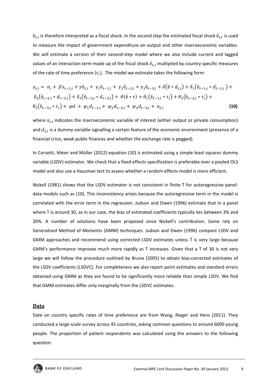$\hat{e}_{t,i}$  is therefore interpreted as a fiscal shock. In the second step the estimated fiscal shock  $\hat{e}_{t,i}$  is used to measure the impact of government expenditure on output and other macroeconomic variables. We will estimate a version of their second-step model where we also include current and lagged values of an interaction term made up of the fiscal shock  $\hat{e}_{t,i}$  multiplied by country specific measures of the rate of time preference  $(\tau_i)$ . The model we estimate takes the following form:

$$
x_{t,i} = \alpha_i + \beta x_{t-1,i} + \gamma \hat{e}_{t,i} + \gamma_1 \hat{e}_{t-1,i} + \gamma_2 \hat{e}_{t-2,i} + \gamma_3 \hat{e}_{t-3,i} + \delta(\hat{e} * d_{t,i}) + \delta_1(\hat{e}_{t-1,i} * d_{t-1,i}) + \delta_2(\hat{e}_{t-2,i} * d_{t-2,i}) + \delta_3(\hat{e}_{t-3,i} * d_{t-3,i}) + \theta(\hat{e} * \tau) + \theta_1(\hat{e}_{t-1,i} * \tau_i) + \theta_2(\hat{e}_{t-2,i} * \tau_i) + \theta_3(\hat{e}_{t-3,i} * \tau_i) + \varphi d + \varphi_1 d_{t-1,i} + \varphi_2 d_{t-2,i} + \varphi_3 d_{t-3,i} + u_{t,i}
$$
\n(10)

where  $x_{t,i}$  indicates the macroeconomic variable of interest (either output or private consumption) and  $d_{t,i}$  is a dummy variable signalling a certain feature of the economic environment (presence of a financial crisis, weak public finances and whether the exchange rate is pegged).

In Corsetti, Meier and Müller (2012) equation (10) is estimated using a simple least squares dummy variable (LSDV) estimator. We check that a fixed effects specification is preferable over a pooled OLS model and also use a Hausman test to assess whether a random effects model is more efficient.

Nickell (1981) shows that the LSDV estimator is not consistent in finite T for autoregressive panel‐ data models such as (10). This inconsistency arises because the autoregressive term in the model is correlated with the error term in the regression. Judson and Owen (1996) estimate that in a panel where T is around 30, as in our case, the bias of estimated coefficients typically lies between 3% and 20%. A number of solutions have been proposed since Nickell's contribution. Some rely on Generalised Method of Moments (GMM) techniques. Judson and Owen (1996) compare LSDV and GMM approaches and recommend using corrected LSDV estimates unless T is very large because GMM's performance improves much more rapidly as T increases. Given that a T of 30 is not very large we will follow the procedure outlined by Bruno (2005) to obtain bias-corrected estimates of the LSDV coefficients (LSDVC). For completeness we also report point estimates and standard errors obtained using GMM as they are found to be significantly more reliable than simple LSDV. We find that GMM estimates differ only marginally from the LSDVC estimates.

#### **Data**

Date on country specific rates of time preference are from Wang, Rieger and Hens (2011). They conducted a large‐scale survey across 45 countries, asking common questions to around 6000 young people. The proportion of patient respondents was calculated using the answers to the following question: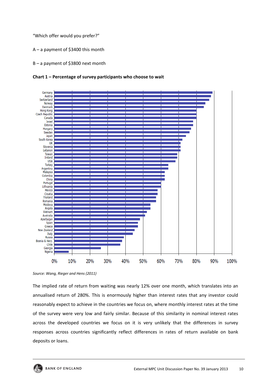"Which offer would you prefer?"

A – a payment of \$3400 this month

B – a payment of \$3800 next month





The implied rate of return from waiting was nearly 12% over one month, which translates into an annualised return of 280%. This is enormously higher than interest rates that any investor could reasonably expect to achieve in the countries we focus on, where monthly interest rates at the time of the survey were very low and fairly similar. Because of this similarity in nominal interest rates across the developed countries we focus on it is very unlikely that the differences in survey responses across countries significantly reflect differences in rates of return available on bank deposits or loans.

*Source: Wang, Rieger and Hens (2011)*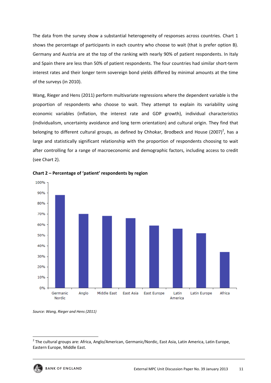The data from the survey show a substantial heterogeneity of responses across countries. Chart 1 shows the percentage of participants in each country who choose to wait (that is prefer option B). Germany and Austria are at the top of the ranking with nearly 90% of patient respondents. In Italy and Spain there are less than 50% of patient respondents. The four countries had similar short-term interest rates and their longer term sovereign bond yields differed by minimal amounts at the time of the surveys (in 2010).

Wang, Rieger and Hens (2011) perform multivariate regressions where the dependent variable is the proportion of respondents who choose to wait. They attempt to explain its variability using economic variables (inflation, the interest rate and GDP growth), individual characteristics (individualism, uncertainty avoidance and long term orientation) and cultural origin. They find that belonging to different cultural groups, as defined by Chhokar, Brodbeck and House (2007)<sup>2</sup>, has a large and statistically significant relationship with the proportion of respondents choosing to wait after controlling for a range of macroeconomic and demographic factors, including access to credit (see Chart 2).



**Chart 2 – Percentage of 'patient' respondents by region**

*Source: Wang, Rieger and Hens (2011)*

<sup>&</sup>lt;sup>2</sup> The cultural groups are: Africa, Anglo/American, Germanic/Nordic, East Asia, Latin America, Latin Europe, Eastern Europe, Middle East.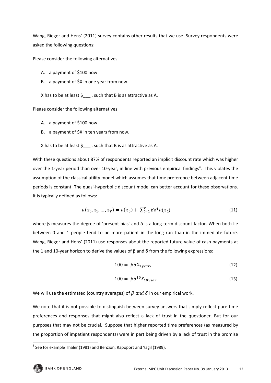Wang, Rieger and Hens' (2011) survey contains other results that we use. Survey respondents were asked the following questions:

Please consider the following alternatives

- A. a payment of \$100 now
- B. a payment of \$X in one year from now.

X has to be at least  $\zeta$ , such that B is as attractive as A.

Please consider the following alternatives

- A. a payment of \$100 now
- B. a payment of \$X in ten years from now.

X has to be at least  $\zeta$  , such that B is as attractive as A.

With these questions about 87% of respondents reported an implicit discount rate which was higher over the 1-year period than over 10-year, in line with previous empirical findings<sup>3</sup>. This violates the assumption of the classical utility model which assumes that time preference between adjacent time periods is constant. The quasi-hyperbolic discount model can better account for these observations. It is typically defined as follows:

$$
u(x_0, x_1, ..., x_T) = u(x_0) + \sum_{t=1}^{T} \beta \delta^t u(x_t)
$$
\n(11)

where β measures the degree of 'present bias' and  $\delta$  is a long-term discount factor. When both lie between 0 and 1 people tend to be more patient in the long run than in the immediate future. Wang, Rieger and Hens' (2011) use responses about the reported future value of cash payments at the 1 and 10‐year horizon to derive the values of β and δ from the following expressions:

$$
100 = \beta \delta X_{1 \text{year}}, \tag{12}
$$

$$
100 = \beta \delta^{10} X_{10year} \tag{13}
$$

We will use the estimated (country averages) of  $\beta$  and  $\delta$  in our empirical work.

We note that it is not possible to distinguish between survey answers that simply reflect pure time preferences and responses that might also reflect a lack of trust in the questioner. But for our purposes that may not be crucial. Suppose that higher reported time preferences (as measured by the proportion of impatient respondents) were in part being driven by a lack of trust in the promise

  $3$  See for example Thaler (1981) and Benzion, Rapoport and Yagil (1989).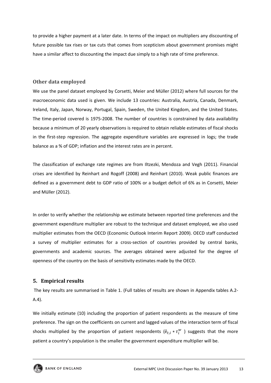to provide a higher payment at a later date. In terms of the impact on multipliers any discounting of future possible tax rises or tax cuts that comes from scepticism about government promises might have a similar affect to discounting the impact due simply to a high rate of time preference.

#### **Other data employed**

We use the panel dataset employed by Corsetti, Meier and Müller (2012) where full sources for the macroeconomic data used is given. We include 13 countries: Australia, Austria, Canada, Denmark, Ireland, Italy, Japan, Norway, Portugal, Spain, Sweden, the United Kingdom, and the United States. The time‐period covered is 1975‐2008. The number of countries is constrained by data availability because a minimum of 20 yearly observations is required to obtain reliable estimates of fiscal shocks in the first-step regression. The aggregate expenditure variables are expressed in logs; the trade balance as a % of GDP; inflation and the interest rates are in percent.

The classification of exchange rate regimes are from Iltzezki, Mendoza and Vegh (2011). Financial crises are identified by Reinhart and Rogoff (2008) and Reinhart (2010). Weak public finances are defined as a government debt to GDP ratio of 100% or a budget deficit of 6% as in Corsetti, Meier and Müller (2012).

In order to verify whether the relationship we estimate between reported time preferences and the government expenditure multiplier are robust to the technique and dataset employed, we also used multiplier estimates from the OECD (Economic Outlook Interim Report 2009). OECD staff conducted a survey of multiplier estimates for a cross-section of countries provided by central banks, governments and academic sources. The averages obtained were adjusted for the degree of openness of the country on the basis of sensitivity estimates made by the OECD.

#### **5. Empirical results**

The key results are summarised in Table 1. (Full tables of results are shown in Appendix tables A.2‐ A.4).

We initially estimate (10) including the proportion of patient respondents as the measure of time preference. The sign on the coefficients on current and lagged values of the interaction term of fiscal shocks multiplied by the proportion of patient respondents ( $\hat{e}_{t,i} * \tau_i^w$  ) suggests that the more patient a country's population is the smaller the government expenditure multiplier will be.

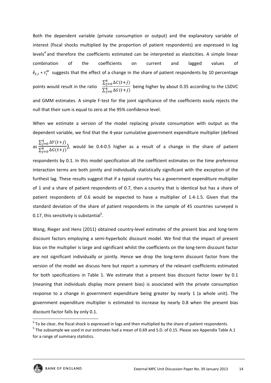Both the dependent variable (private consumption or output) and the explanatory variable of interest (fiscal shocks multiplied by the proportion of patient respondents) are expressed in log levels<sup>4</sup> and therefore the coefficients estimated can be interpreted as elasticities. A simple linear combination of the coefficients on current and lagged values of  $\hat{\mathsf{e}}_{t,i} * \tau_{i}^{w}$  suggests that the effect of a change in the share of patient respondents by 10 percentage

points would result in the ratio  $\sum_{j=0}^{4} \Delta C(t+j)$  $\sum_{j=0}^{4} \Delta G(t+j)$  being higher by about 0.35 according to the LSDVC and GMM estimates. A simple F-test for the joint significance of the coefficients easily rejects the

null that their sum is equal to zero at the 95% confidence level.

When we estimate a version of the model replacing private consumption with output as the dependent variable, we find that the 4‐year cumulative government expenditure multiplier (defined

as 
$$
\frac{\sum_{j=0}^{4} \Delta Y(t+j)}{\sum_{j=0}^{4} \Delta G(t+j)}
$$
, would be 0.4-0.5 higher as a result of a change in the share of patient

respondents by 0.1. In this model specification all the coefficient estimates on the time preference interaction terms are both jointly and individually statistically significant with the exception of the furthest lag. These results suggest that if a typical country has a government expenditure multiplier of 1 and a share of patient respondents of 0.7, then a country that is identical but has a share of patient respondents of 0.6 would be expected to have a multiplier of 1.4‐1.5. Given that the standard deviation of the share of patient respondents in the sample of 45 countries surveyed is 0.17, this sensitivity is substantial<sup>5</sup>.

Wang, Rieger and Hens (2011) obtained country-level estimates of the present bias and long-term discount factors employing a semi‐hyperbolic discount model. We find that the impact of present bias on the multiplier is large and significant whilst the coefficients on the long-term discount factor are not significant individually or jointly. Hence we drop the long-term discount factor from the version of the model we discuss here but report a summary of the relevant coefficients estimated for both specifications in Table 1. We estimate that a present bias discount factor lower by 0.1 (meaning that individuals display more present bias) is associated with the private consumption response to a change in government expenditure being greater by nearly 1 (a whole unit). The government expenditure multiplier is estimated to increase by nearly 0.8 when the present bias discount factor falls by only 0.1.

<sup>&</sup>lt;sup>4</sup> To be clear, the fiscal shock is expressed in logs and then multiplied by the share of patient respondents.

<sup>5</sup> The subsample we used in our estimates had a mean of 0.69 and S.D. of 0.15. Please see Appendix Table A.1 for a range of summary statistics.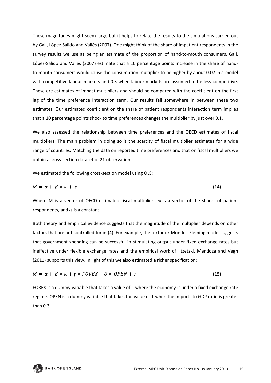These magnitudes might seem large but it helps to relate the results to the simulations carried out by Galí, López‐Salido and Vallés (2007). One might think of the share of impatient respondents in the survey results we use as being an estimate of the proportion of hand-to-mouth consumers. Galí, López‐Salido and Vallés (2007) estimate that a 10 percentage points increase in the share of hand‐ to-mouth consumers would cause the consumption multiplier to be higher by about 0.07 in a model with competitive labour markets and 0.3 when labour markets are assumed to be less competitive. These are estimates of impact multipliers and should be compared with the coefficient on the first lag of the time preference interaction term. Our results fall somewhere in between these two estimates. Our estimated coefficient on the share of patient respondents interaction term implies that a 10 percentage points shock to time preferences changes the multiplier by just over 0.1.

We also assessed the relationship between time preferences and the OECD estimates of fiscal multipliers. The main problem in doing so is the scarcity of fiscal multiplier estimates for a wide range of countries. Matching the data on reported time preferences and that on fiscal multipliers we obtain a cross‐section dataset of 21 observations.

We estimated the following cross-section model using OLS:

$$
M = \alpha + \beta \times \omega + \varepsilon \tag{14}
$$

Where M is a vector of OECD estimated fiscal multipliers,  $\omega$  is a vector of the shares of patient respondents, and  $\alpha$  is a constant.

Both theory and empirical evidence suggests that the magnitude of the multiplier depends on other factors that are not controlled for in (4). For example, the textbook Mundell-Fleming model suggests that government spending can be successful in stimulating output under fixed exchange rates but ineffective under flexible exchange rates and the empirical work of Iltzetzki, Mendoza and Vegh (2011) supports this view. In light of this we also estimated a richer specification:

$$
M = \alpha + \beta \times \omega + \gamma \times FOREX + \delta \times OPER + \varepsilon
$$
\n(15)

FOREX is a dummy variable that takes a value of 1 where the economy is under a fixed exchange rate regime. OPEN is a dummy variable that takes the value of 1 when the imports to GDP ratio is greater than 0.3.

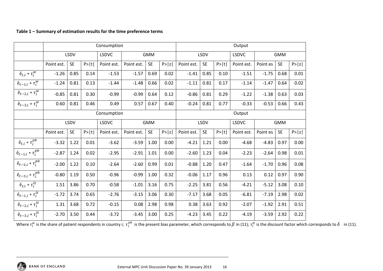#### **Table 1 – Summary of estimation results for the time preference terms**

|                                          |             |           |        | Consumption  |            |           | Output |            |           |        |                            |          |           |        |  |
|------------------------------------------|-------------|-----------|--------|--------------|------------|-----------|--------|------------|-----------|--------|----------------------------|----------|-----------|--------|--|
|                                          |             | LSDV      |        | <b>LSDVC</b> | <b>GMM</b> |           |        | LSDV       |           |        | <b>LSDVC</b><br><b>GMM</b> |          |           |        |  |
|                                          | Point est.  | <b>SE</b> | P >  t | Point est.   | Point est. | <b>SE</b> | P >  z | Point est. | <b>SE</b> | P >  t | Point est.                 | Point es | <b>SE</b> | P >  z |  |
| $\hat{\mathbf{e}}_{t,i} * \tau_i^w$      | $-1.26$     | 0.85      | 0.14   | $-1.53$      | $-1.57$    | 0.69      | 0.02   | $-1.41$    | 0.85      | 0.10   | $-1.51$                    | $-1.75$  | 0.68      | 0.01   |  |
| $\hat{\mathbf{e}}_{t-1,i}*\tau^w_i$      | $-1.24$     | 0.81      | 0.13   | $-1.44$      | $-1.48$    | 0.66      | 0.02   | $-1.11$    | 0.81      | 0.17   | $-1.14$                    | $-1.47$  | 0.64      | 0.02   |  |
| $\hat{\mathbf{e}}_{t-2,i} * \tau_i^w$    | $-0.85$     | 0.81      | 0.30   | $-0.99$      | $-0.99$    | 0.64      | 0.12   | $-0.86$    | 0.81      | 0.29   | $-1.22$                    | $-1.38$  | 0.63      | 0.03   |  |
| $\hat{\mathbf{e}}_{t-3,i} * \tau_i^w$    | 0.60        | 0.81      | 0.46   | 0.49         | 0.57       | 0.67      | 0.40   | $-0.24$    | 0.81      | 0.77   | $-0.33$                    | $-0.53$  | 0.66      | 0.43   |  |
|                                          | Consumption |           |        |              |            |           |        |            | Output    |        |                            |          |           |        |  |
|                                          |             | LSDV      |        | <b>LSDVC</b> | <b>GMM</b> |           |        | LSDV       |           |        | <b>LSDVC</b><br><b>GMM</b> |          |           |        |  |
|                                          | Point est.  | <b>SE</b> | P> t   | Point est.   | Point est. | <b>SE</b> | P >  z | Point est. | <b>SE</b> | P> t   | Point est.                 | Point es | <b>SE</b> | P >  z |  |
| $\hat{\mathbf{e}}_{t,i} * \tau_i^{pb}$   | $-3.32$     | 1.22      | 0.01   | $-3.62$      | $-3.59$    | 1.00      | 0.00   | $-4.21$    | 1.21      | 0.00   | $-4.68$                    | $-4.83$  | 0.97      | 0.00   |  |
| $\hat{\textbf{e}}_{t-1,i}*\tau_i^{pb}$   | $-2.87$     | 1.24      | 0.02   | $-2.95$      | $-2.91$    | 1.01      | 0.00   | $-2.60$    | 1.23      | 0.04   | $-2.23$                    | $-2.64$  | 0.98      | 0.01   |  |
| $\hat{\mathbf{e}}_{t-2,i} * \tau_i^{pb}$ | $-2.00$     | 1.22      | 0.10   | $-2.64$      | $-2.60$    | 0.99      | 0.01   | $-0.88$    | 1.20      | 0.47   | $-1.64$                    | $-1.70$  | 0.96      | 0.08   |  |
| $\hat{\textbf{e}}_{t-3,i}*\tau_i^{pb}$   | $-0.80$     | 1.19      | 0.50   | $-0.96$      | $-0.99$    | 1.00      | 0.32   | $-0.06$    | 1.17      | 0.96   | 0.13                       | 0.12     | 0.97      | 0.90   |  |
| $\hat{\mathbf{e}}_{t,i} * \tau_{i}^{lt}$ | 1.51        | 3.86      | 0.70   | $-0.58$      | $-1.01$    | 3.16      | 0.75   | $-2.25$    | 3.81      | 0.56   | $-4.21$                    | $-5.12$  | 3.08      | 0.10   |  |
| $\hat{\mathbf{e}}_{t-1,i} * \tau_i^{lt}$ | $-1.72$     | 3.74      | 0.65   | $-2.76$      | $-3.15$    | 3.06      | 0.30   | $-7.17$    | 3.68      | 0.05   | $-6.81$                    | $-7.19$  | 2.98      | 0.02   |  |
| $\hat{\mathbf{e}}_{t-2,i} * \tau_i^{lt}$ | 1.31        | 3.68      | 0.72   | $-0.15$      | 0.08       | 2.98      | 0.98   | 0.38       | 3.63      | 0.92   | $-2.07$                    | $-1.92$  | 2.91      | 0.51   |  |
| $\hat{\mathbf{e}}_{t-3,i} * \tau_i^{lt}$ | $-2.70$     | 3.50      | 0.44   | $-3.72$      | $-3.45$    | 3.00      | 0.25   | $-4.23$    | 3.45      | 0.22   | $-4.19$                    | $-3.59$  | 2.92      | 0.22   |  |

Where  $\tau^w_i$  is the share of patient respondents in country i;  $\tau^{pb}_i$  is the present bias parameter, which corresponds to  $\beta$  in (11);  $\tau^{lt}_i$  is the discount factor which corresponds to  $\delta$  in (11).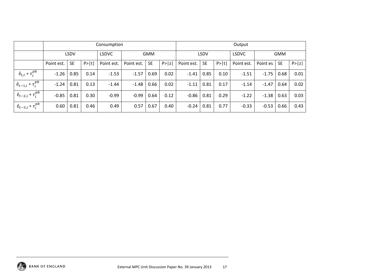|                                          |             |           |      | Consumption  |            |           | Output |             |           |      |              |            |           |        |
|------------------------------------------|-------------|-----------|------|--------------|------------|-----------|--------|-------------|-----------|------|--------------|------------|-----------|--------|
|                                          | <b>LSDV</b> |           |      | <b>LSDVC</b> | <b>GMM</b> |           |        | <b>LSDV</b> |           |      | <b>LSDVC</b> | <b>GMM</b> |           |        |
|                                          | Point est.  | <b>SE</b> | P> t | Point est.   | Point est. | <b>SE</b> | P >  z | Point est.  | <b>SE</b> | P> t | Point est.   | Point es   | <b>SE</b> | P >  z |
| $\hat{\mathrm{e}}_{t,i}*\tau_i^{pb}$     | $-1.26$     | 0.85      | 0.14 | $-1.53$      | $-1.57$    | 0.69      | 0.02   | $-1.41$     | 0.85      | 0.10 | $-1.51$      | $-1.75$    | 0.68      | 0.01   |
| $\hat{\mathbf{e}}_{t-1,i} * \tau_i^{pb}$ | $-1.24$     | 0.81      | 0.13 | $-1.44$      | $-1.48$    | 0.66      | 0.02   | $-1.11$     | 0.81      | 0.17 | $-1.14$      | $-1.47$    | 0.64      | 0.02   |
| $+ \hat{e}_{t-2,i} * \tau_i^{pb} +$      | $-0.85$     | 0.81      | 0.30 | $-0.99$      | $-0.99$    | 0.64      | 0.12   | $-0.86$     | 0.81      | 0.29 | $-1.22$      | $-1.38$    | 0.63      | 0.03   |
| $+ \hat{e}_{t-3,i} * \tau_i^{pb} +$      | 0.60        | 0.81      | 0.46 | 0.49         | 0.57       | 0.67      | 0.40   | $-0.24$     | 0.81      | 0.77 | $-0.33$      | $-0.53$    | 0.66      | 0.43   |

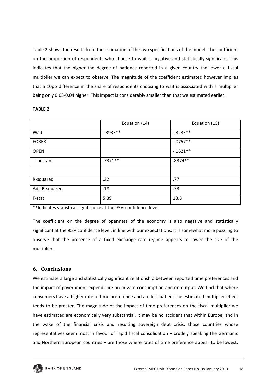Table 2 shows the results from the estimation of the two specifications of the model. The coefficient on the proportion of respondents who choose to wait is negative and statistically significant. This indicates that the higher the degree of patience reported in a given country the lower a fiscal multiplier we can expect to observe. The magnitude of the coefficient estimated however implies that a 10pp difference in the share of respondents choosing to wait is associated with a multiplier being only 0.03‐0.04 higher. This impact is considerably smaller than that we estimated earlier.

#### **TABLE 2**

|                | Equation (14) | Equation (15) |
|----------------|---------------|---------------|
| Wait           | $-.3933**$    | $-0.3235**$   |
| <b>FOREX</b>   |               | $-0.0757**$   |
| <b>OPEN</b>    |               | $-1621**$     |
| _constant      | $.7371**$     | $.8374**$     |
|                |               |               |
| R-squared      | .22           | .77           |
| Adj. R-squared | .18           | .73           |
| F-stat         | 5.39          | 18.8          |

\*\*Indicates statistical significance at the 95% confidence level.

The coefficient on the degree of openness of the economy is also negative and statistically significant at the 95% confidence level, in line with our expectations. It is somewhat more puzzling to observe that the presence of a fixed exchange rate regime appears to lower the size of the multiplier.

#### **6. Conclusions**

We estimate a large and statistically significant relationship between reported time preferences and the impact of government expenditure on private consumption and on output. We find that where consumers have a higher rate of time preference and are less patient the estimated multiplier effect tends to be greater. The magnitude of the impact of time preferences on the fiscal multiplier we have estimated are economically very substantial. It may be no accident that within Europe, and in the wake of the financial crisis and resulting sovereign debt crisis, those countries whose representatives seem most in favour of rapid fiscal consolidation – crudely speaking the Germanic and Northern European countries – are those where rates of time preference appear to be lowest.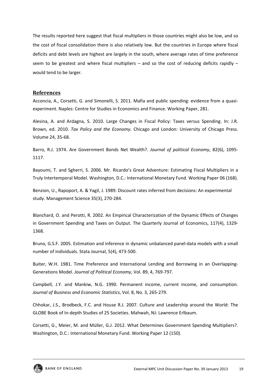The results reported here suggest that fiscal multipliers in those countries might also be low, and so the cost of fiscal consolidation there is also relatively low. But the countries in Europe where fiscal deficits and debt levels are highest are largely in the south, where average rates of time preference seem to be greatest and where fiscal multipliers – and so the cost of reducing deficits rapidly – would tend to be larger.

#### **References**

Acconcia, A., Corsetti, G. and Simonelli, S. 2011. Mafia and public spending: evidence from a quasi‐ experiment. Naples: Centre for Studies in Economics and Finance. Working Paper, 281.

Alesina, A. and Ardagna, S. 2010. Large Changes in Fiscal Policy: Taxes versus Spending. In: J.R. Brown, ed. 2010. *Tax Policy and the Economy*. Chicago and London: University of Chicago Press. Volume 24, 35‐68.

Barro, R.J. 1974. Are Government Bonds Net Wealth?. *Journal of political Economy*, 82(6), 1095‐ 1117.

Bayoumi, T. and Sgherri, S. 2006. Mr. Ricardo's Great Adventure: Estimating Fiscal Multipliers in a Truly Intertemporal Model. Washington, D.C.: International Monetary Fund. Working Paper 06 (168).

Benzion, U., Rapoport, A. & Yagil, J. 1989. Discount rates inferred from decisions: An experimental study. Management Science 35(3), 270‐284.

Blanchard, O. and Perotti, R. 2002. An Empirical Characterization of the Dynamic Effects of Changes in Government Spending and Taxes on Output. The Quarterly Journal of Economics, 117(4), 1329‐ 1368.

Bruno, G.S.F. 2005. Estimation and inference in dynamic unbalanced panel‐data models with a small number of individuals. Stata Journal, 5(4), 473‐500.

Buiter, W.H. 1981. Time Preference and International Lending and Borrowing in an Overlapping-Generations Model. *Journal of Political Economy*, Vol. 89, 4, 769‐797.

Campbell, J.Y. and Mankiw, N.G. 1990. Permanent income, current income, and consumption. *Journal of Business and Economic Statistics*, Vol. 8, No. 3, 265‐279.

Chhokar, J.S., Brodbeck, F.C. and House R.J. 2007. Culture and Leadership around the World: The GLOBE Book of In‐depth Studies of 25 Societies. Mahwah, NJ: Lawrence Erlbaum.

Corsetti, G., Meier, M. and Müller, G.J. 2012. What Determines Government Spending Multipliers?. Washington, D.C.: International Monetary Fund. Working Paper 12 (150).

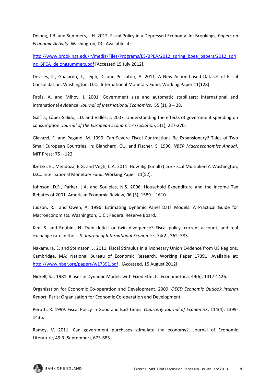Delong, J.B. and Summers, L.H. 2012. Fiscal Policy in a Depressed Economy. In: Brookings, *Papers on Economic Activity*. Washington, DC. Available at:

http://www.brookings.edu/~/media/Files/Programs/ES/BPEA/2012\_spring\_bpea\_papers/2012\_spri ng\_BPEA\_delongsummers.pdf [Accessed 15 July 2012].

Devries, P., Guajardo, J., Leigh, D. and Pescatori, A. 2011. A New Action‐based Dataset of Fiscal Consolidation. Washington, D.C.: International Monetary Fund. Working Paper 11(128).

Fatás, A. and Mihov, I. 2001. Government size and automatic stabilizers: international and intranational evidence. *Journal of International Economics*, 55 (1), 3 – 28.

Galí, J., López‐Salido, J.D. and Vallés, J. 2007. Understanding the effects of government spending on consumption. *Journal of the European Economic Association*, 5(1), 227‐270.

Giavazzi, F. and Pagano, M. 1990. Can Severe Fiscal Contractions Be Expansionary? Tales of Two Small European Countries. In: Blanchard, O.J. and Fischer, S. 1990. *NBER Macroeconomics Annual*. MIT Press: 75 – 122.

Ilzetzki, E., Mendoza, E.G. and Vegh, C.A. 2011. How Big (Small?) are Fiscal Multipliers?. Washington, D.C.: International Monetary Fund. Working Paper 11(52).

Johnson, D.S., Parker, J.A. and Souleles, N.S. 2006. Household Expenditure and the Income Tax Rebates of 2001. American Economic Review, 96 (5), 1589 – 1610.

Judson, R. and Owen, A. 1996. Estimating Dynamic Panel Data Models: A Practical Guide for Macroeconomists. Washington, D.C.: Federal Reserve Board.

Kim, S. and Roubini, N. Twin deficit or twin divergence? Fiscal policy, current account, and real exchange rate in the U.S. *Journal of International Economics*, 74(2), 362–383.

Nakamura, E. and Steinsson, J. 2011. Fiscal Stimulus in a Monetary Union Evidence from US Regions. Cambridge, MA: National Bureau of Economic Research. Working Paper 17391. Available at: http://www.nber.org/papers/w17391.pdf . [Accessed, 15 August 2012]

Nickell, S.J. 1981. Biases in Dynamic Models with Fixed Effects. Econometrica, 49(6), 1417‐1426.

Organisation for Economic Co‐operation and Development, 2009. *OECD Economic Outlook Interim Report*. Paris: Organisation for Economic Co‐operation and Development.

Perotti, R. 1999. Fiscal Policy in Good and Bad Times. *Quarterly Journal of Economics*, 114(4): 1399‐ 1436.

Ramey, V. 2011. Can government purchases stimulate the economy?. Journal of Economic Literature, 49:3 (September), 673‐685.

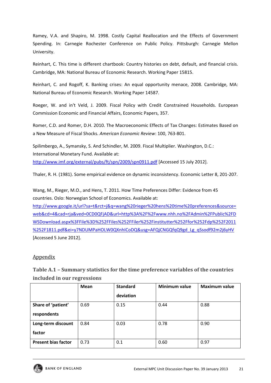Ramey, V.A. and Shapiro, M. 1998. Costly Capital Reallocation and the Effects of Government Spending. In: Carnegie Rochester Conference on Public Policy. Pittsburgh: Carnegie Mellon University.

Reinhart, C. This time is different chartbook: Country histories on debt, default, and financial crisis. Cambridge, MA: National Bureau of Economic Research. Working Paper 15815.

Reinhart, C. and Rogoff, K. Banking crises: An equal opportunity menace, 2008. Cambridge, MA: National Bureau of Economic Research. Working Paper 14587.

Roeger, W. and in't Veld, J. 2009. Fiscal Policy with Credit Constrained Households. European Commission Economic and Financial Affairs, Economic Papers, 357.

Romer, C.D. and Romer, D.H. 2010. The Macroeconomic Effects of Tax Changes: Estimates Based on a New Measure of Fiscal Shocks. *American Economic Review*: 100, 763‐801.

Spilimbergo, A., Symansky, S. And Schindler, M. 2009. Fiscal Multiplier. Washington, D.C.: International Monetary Fund. Available at: http://www.imf.org/external/pubs/ft/spn/2009/spn0911.pdf [Accessed 15 July 2012].

Thaler, R. H. (1981). Some empirical evidence on dynamic inconsistency. Economic Letter 8, 201‐207.

Wang, M., Rieger, M.O., and Hens, T. 2011. How Time Preferences Differ: Evidence from 45 countries. Oslo: Norwegian School of Economics. Available at:

http://www.google.it/url?sa=t&rct=j&q=wang%20rieger%20hens%20time%20preferences&source= web&cd=4&cad=rja&ved=0CD0QFjAD&url=http%3A%2F%2Fwww.nhh.no%2FAdmin%2FPublic%2FD WSDownload.aspx%3FFile%3D%252FFiles%252FFiler%252Finstitutter%252Ffor%252Fdp%252F2011 %252F1811.pdf&ei=y7NDUMPaHOLW0QXnhICoDQ&usg=AFQjCNGQfqQ9gd\_Lg\_qSsodf92m2j6yHV [Accessed 5 June 2012].

#### Appendix

**Table A.1 – Summary statistics for the time preference variables of the countries included in our regressions**

|                            | <b>Mean</b> | <b>Standard</b> | <b>Minimum value</b> | <b>Maximum value</b> |
|----------------------------|-------------|-----------------|----------------------|----------------------|
|                            |             | deviation       |                      |                      |
| Share of 'patient'         | 0.69        | 0.15            | 0.44                 | 0.88                 |
| respondents                |             |                 |                      |                      |
| Long-term discount         | 0.84        | 0.03            | 0.78                 | 0.90                 |
| factor                     |             |                 |                      |                      |
| <b>Present bias factor</b> | 0.73        | 0.1             | 0.60                 | 0.97                 |

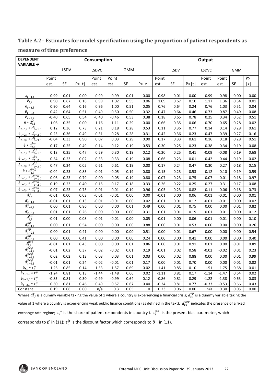| <b>DEPENDENT</b><br><b>VARIABLE →</b>              |         |           |        | Consumption |         |            | Output |         |           |        |              |         |            |      |
|----------------------------------------------------|---------|-----------|--------|-------------|---------|------------|--------|---------|-----------|--------|--------------|---------|------------|------|
|                                                    |         | LSDV      |        | LSDVC       |         | <b>GMM</b> |        |         | LSDV      |        | <b>LSDVC</b> |         | <b>GMM</b> |      |
|                                                    | Point   |           |        | Point       | Point   |            |        | Point   |           |        | Point        | Point   |            | P >  |
|                                                    | est.    | <b>SE</b> | P >  t | est.        | est.    | <b>SE</b>  | P >  z | est.    | <b>SE</b> | P >  t | est.         | est.    | <b>SE</b>  | z    |
|                                                    |         |           |        |             |         |            |        |         |           |        |              |         |            |      |
| $x_{t-1,i}$                                        | 0.99    | 0.01      | 0.00   | 0.99        | 0.99    | 0.01       | 0.00   | 0.98    | 0.01      | 0.00   | 0.99         | 0.98    | 0.00       | 0.00 |
| $\hat{\mathbf{e}}_{t.i}$                           | 0.90    | 0.67      | 0.18   | 0.99        | 1.02    | 0.55       | 0.06   | 1.09    | 0.67      | 0.10   | 1.17         | 1.36    | 0.54       | 0.01 |
| $\hat{\mathbf{e}}_{t-\underline{1},i}$             | 0.90    | 0.64      | 0.16   | 0.96        | 1.00    | 0.51       | 0.05   | 0.76    | 0.64      | 0.24   | 0.76         | 1.03    | 0.51       | 0.04 |
| $\hat{\mathbf{e}}_{t-2,i}$                         | 0.42    | 0.64      | 0.51   | 0.49        | 0.50    | 0.50       | 0.32   | 0.47    | 0.64      | 0.46   | 0.73         | 0.87    | 0.49       | 0.08 |
| $\hat{\mathbf{e}}_{t-\underline{3},\underline{i}}$ | $-0.40$ | 0.65      | 0.54   | $-0.40$     | $-0.46$ | 0.53       | 0.38   | 0.18    | 0.65      | 0.78   | 0.25         | 0.34    | 0.52       | 0.51 |
| $\hat{e} * d_{t,i}^c$                              | 1.06    | 0.35      | 0.00   | 1.16        | 1.11    | 0.29       | 0.00   | 0.66    | 0.35      | 0.06   | 0.70         | 0.65    | 0.28       | 0.02 |
| $\hat{e}_{t-1,i} * d_{t-1,i}^c$                    | 0.12    | 0.36      | 0.73   | 0.21        | 0.18    | 0.28       | 0.53   | 0.11    | 0.36      | 0.77   | 0.14         | 0.14    | 0.28       | 0.61 |
| $\hat{e}_{t-2,i} * d_{t-2,i}^c$                    | 0.25    | 0.36      | 0.49   | 0.31        | 0.28    | 0.28       | 0.31   | 0.42    | 0.36      | 0.23   | 0.47         | 0.39    | 0.27       | 0.16 |
| $\hat{e}_{t-3,i} * d_{t-3,i}^c$                    | $-0.04$ | 0.33      | 0.90   | 0.07        | 0.03    | 0.29       | 0.90   | 0.17    | 0.33      | 0.61   | 0.16         | 0.18    | 0.28       | 0.51 |
| $\hat{e} * d_{t,i}^{bp}$                           | $-0.17$ | 0.25      | 0.49   | $-0.14$     | $-0.12$ | 0.19       | 0.53   | $-0.30$ | 0.25      | 0.23   | $-0.38$      | $-0.34$ | 0.19       | 0.08 |
| $\hat{e}_{t-1,i} * d_{t-1,i}^{bp}$                 | 0.18    | 0.25      | 0.47   | 0.29        | 0.30    | 0.19       | 0.12   | $-0.20$ | 0.25      | 0.41   | $-0.09$      | $-0.08$ | 0.19       | 0.68 |
| $\hat{e}_{t-2,i} * d_{t-2,i}^{bp}$                 | 0.54    | 0.23      | 0.02   | 0.33        | 0.33    | 0.19       | 0.08   | 0.66    | 0.23      | 0.01   | 0.42         | 0.44    | 0.19       | 0.02 |
| $\hat{e}_{t-3,i} * d_{t-3,i}^{bp}$                 | 0.47    | 0.24      | 0.05   | 0.61        | 0.61    | 0.19       | 0.00   | 0.17    | 0.24      | 0.47   | 0.30         | 0.27    | 0.18       | 0.15 |
| $\hat{e} * d_{t,i}^{peg}$                          | $-0.04$ | 0.23      | 0.85   | $-0.01$     | $-0.05$ | 0.19       | 0.80   | 0.15    | 0.23      | 0.53   | 0.12         | 0.10    | 0.19       | 0.59 |
| $\hat{e}_{t-1,i} * d_{t-1,i}^{peg}$                | $-0.06$ | 0.23      | 0.79   | 0.00        | $-0.05$ | 0.19       | 0.80   | 0.07    | 0.23      | 0.75   | 0.07         | 0.01    | 0.18       | 0.97 |
| $\hat{e}_{t-2,i} * d_{t-2,i}^{peg}$                | $-0.19$ | 0.23      | 0.40   | $-0.15$     | $-0.17$ | 0.18       | 0.33   | $-0.26$ | 0.22      | 0.25   | $-0.27$      | $-0.31$ | 0.17       | 0.08 |
| $\hat{e}_{t-3,i} * d_{t-3,i}^{peg}$                | $-0.07$ | 0.23      | 0.75   | $-0.01$     | $-0.01$ | 0.19       | 0.96   | $-0.05$ | 0.23      | 0.82   | $-0.11$      | $-0.06$ | 0.18       | 0.73 |
| $\overline{d_{t,i}^c}$                             | $-0.01$ | 0.00      | 0.03   | $-0.01$     | $-0.01$ | 0.00       | 0.00   | $-0.01$ | 0.00      | 0.06   | $-0.01$      | $-0.01$ | 0.00       | 0.01 |
| $d_{t-1,i}^c$                                      | $-0.01$ | 0.01      | 0.13   | $-0.01$     | $-0.01$ | 0.00       | 0.02   | $-0.01$ | 0.01      | 0.12   | $-0.01$      | $-0.01$ | 0.00       | 0.02 |
| $\overline{d_{t-2,i}^c}$                           | 0.00    | 0.01      | 0.86   | 0.00        | 0.00    | 0.01       | 0.49   | 0.00    | 0.01      | 0.75   | 0.00         | 0.00    | 0.01       | 0.82 |
| $\overline{d_{t-3,i}^c}$                           | 0.01    | 0.01      | 0.26   | 0.00        | 0.00    | 0.00       | 0.31   | 0.01    | 0.01      | 0.19   | 0.01         | 0.01    | 0.00       | 0.12 |
| $d_{t,i}^{bp}$                                     | $-0.01$ | 0.00      | 0.08   | $-0.01$     | $-0.01$ | 0.00       | 0.05   | $-0.01$ | 0.00      | 0.06   | $-0.01$      | $-0.01$ | 0.00       | 0.10 |
| $d_{t-1,i}^{bp}$                                   | 0.00    | 0.01      | 0.54   | 0.00        | 0.00    | 0.00       | 0.88   | 0.00    | 0.01      | 0.53   | 0.00         | 0.00    | 0.00       | 0.26 |
| $d_{t-2,i}^{bp}$                                   | 0.00    | 0.01      | 0.41   | 0.00        | 0.00    | 0.00       | 0.51   | 0.00    | 0.01      | 0.67   | 0.00         | 0.00    | 0.00       | 0.54 |
| $d_{t-3,i}^{bp}$                                   | 0.00    | 0.00      | 0.41   | 0.00        | 0.00    | 0.00       | 0.24   | 0.00    | 0.00      | 0.41   | 0.00         | 0.00    | 0.00       | 0.40 |
| $d_{t,i}^{peg}$                                    | $-0.01$ | 0.01      | 0.45   | 0.00        | 0.00    | 0.01       | 0.86   | 0.00    | 0.01      | 0.91   | 0.01         | 0.00    | 0.01       | 0.89 |
| $d_{t-1,i}^{peg}$                                  | $-0.01$ | 0.02      | 0.37   | $-0.02$     | $-0.02$ | 0.01       | 0.19   | $-0.01$ | 0.02      | 0.58   | $-0.02$      | $-0.02$ | 0.01       | 0.23 |
| $\frac{1}{d_{t-2,i}^{peg}}$                        | 0.02    | 0.02      | 0.12   | 0.03        | 0.03    | 0.01       | 0.03   | 0.00    | 0.02      | 0.88   | 0.00         | 0.00    | 0.01       | 0.99 |
| $d_{t-3,i}^{peg}$                                  | $-0.01$ | 0.01      | 0.24   | $-0.02$     | $-0.01$ | 0.01       | 0.17   | 0.00    | 0.01      | 0.70   | 0.00         | 0.00    | 0.01       | 0.82 |
| $\hat{\mathbf{e}}_{t,i} * \tau_i^w$                | $-1.26$ | 0.85      | 0.14   | $-1.53$     | $-1.57$ | 0.69       | 0.02   | $-1.41$ | 0.85      | 0.10   | $-1.51$      | $-1.75$ | 0.68       | 0.01 |
| $\hat{\mathbf{e}}_{t-1,i} * \tau_i^w$              | $-1.24$ | 0.81      | 0.13   | $-1.44$     | $-1.48$ | 0.66       | 0.02   | $-1.11$ | 0.81      | 0.17   | $-1.14$      | $-1.47$ | 0.64       | 0.02 |
| $\hat{\mathbf{e}}_{t-2,i} * \tau_i^w$              | $-0.85$ | 0.81      | 0.30   | $-0.99$     | $-0.99$ | 0.64       | 0.12   | $-0.86$ | 0.81      | 0.29   | $-1.22$      | $-1.38$ | 0.63       | 0.03 |
| $\hat{e}_{t-3,i} * \tau_i^w$                       | 0.60    | 0.81      | 0.46   | 0.49        | 0.57    | 0.67       | 0.40   | $-0.24$ | 0.81      | 0.77   | $-0.33$      | $-0.53$ | 0.66       | 0.43 |
| Constant                                           | 0.19    | 0.06      | 0.00   | n/a         | 0.3     | 0.05       | 0      | 0.23    | 0.06      | 0.00   | n/a          | 0.30    | 0.05       | 0.00 |

#### **Table A.2– Estimates for model specification using the proportion of patient respondents as measure of time preference**

Where  $d_{t,i}^c$  is a dummy variable taking the value of 1 where a country is experiencing a financial crisis;  $d_{t,i}^{bp}$  is a dummy variable taking the value of 1 where a country is experiencing weak public finance conditions (as defined in the text);  $d^{peg}_{t,i}$  indicates the presence of a fixed exchange rate regime;  $\tau^w_i$  is the share of patient respondents in country i.  $\tau^{pb}_i$  is the present bias parameter, which corresponds to  $\beta$  in (11);  $\tau_i^{lt}$  is the discount factor which corresponds to  $\delta^-$  in (11).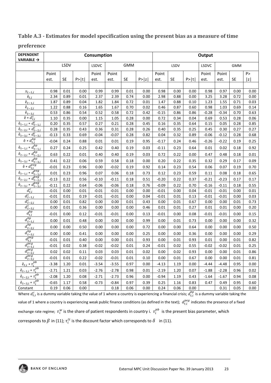#### **Table A.3 Estimates for model specification using the present bias as a measure of time**

#### **preference**

| <b>DEPENDENT</b><br><b>VARIABLE →</b>               | Consumption |           |      |         |         |            |        |         | Output    |      |         |            |           |      |  |
|-----------------------------------------------------|-------------|-----------|------|---------|---------|------------|--------|---------|-----------|------|---------|------------|-----------|------|--|
|                                                     |             | LSDV      |      | LSDVC   |         | <b>GMM</b> |        | LSDV    |           |      | LSDVC   | <b>GMM</b> |           |      |  |
|                                                     | Point       |           |      | Point   | Point   |            |        | Point   |           |      | Point   | Point      |           | P >  |  |
|                                                     | est.        | <b>SE</b> | P> t | est.    | est.    | <b>SE</b>  | P >  z | est.    | <b>SE</b> | P> t | est.    | est.       | <b>SE</b> | z    |  |
|                                                     |             |           |      |         |         |            |        |         |           |      |         |            |           |      |  |
| $x_{t-1,i}$                                         | 0.98        | 0.01      | 0.00 | 0.99    | 0.99    | 0.01       | 0.00   | 0.98    | 0.00      | 0.00 | 0.98    | 0.97       | 0.00      | 0.00 |  |
| $\hat{\mathbf{e}}_{t,i}$                            | 2.34        | 0.89      | 0.01 | 2.37    | 2.39    | 0.74       | 0.00   | 2.98    | 0.88      | 0.00 | 3.25    | 3.28       | 0.72      | 0.00 |  |
| $\hat{\mathbf{e}}_{t-\underline{1},i}$              | 1.87        | 0.89      | 0.04 | 1.82    | 1.84    | 0.72       | 0.01   | 1.47    | 0.88      | 0.10 | 1.23    | 1.55       | 0.71      | 0.03 |  |
| $\hat{\mathbf{e}}_{t-2,i}$                          | 1.22        | 0.88      | 0.16 | 1.65    | 1.67    | 0.70       | 0.02   | 0.46    | 0.87      | 0.60 | 0.98    | 1.03       | 0.69      | 0.14 |  |
| $\hat{\mathbf{e}}_{t-\underline{3},\underline{i}}$  | 0.53        | 0.86      | 0.54 | 0.52    | 0.58    | 0.72       | 0.42   | $-0.15$ | 0.86      | 0.86 | $-0.28$ | $-0.34$    | 0.70      | 0.63 |  |
| $\hat{e} * d_{t,i}^c$                               | 1.10        | 0.35      | 0.00 | 1.15    | 1.05    | 0.28       | 0.00   | 0.72    | 0.34      | 0.04 | 0.69    | 0.53       | 0.28      | 0.06 |  |
| $\hat{e}_{t-1,i} * d_{t-1,i}^c$                     | 0.20        | 0.35      | 0.57 | 0.27    | 0.21    | 0.28       | 0.45   | 0.16    | 0.35      | 0.64 | 0.15    | 0.05       | 0.28      | 0.85 |  |
| $\hat{e}_{t-2,i} * d_{t-2,i}^c$                     | 0.28        | 0.35      | 0.43 | 0.36    | 0.31    | 0.28       | 0.26   | 0.40    | 0.35      | 0.25 | 0.45    | 0.30       | 0.27      | 0.27 |  |
| $\hat{e}_{t-3,i} * d_{t-3,i}^c$                     | $-0.13$     | 0.33      | 0.69 | $-0.04$ | $-0.07$ | 0.28       | 0.82   | 0.04    | 0.32      | 0.89 | $-0.06$ | $-0.12$    | 0.28      | 0.68 |  |
| $\hat{\mathbf{e}} * d_{t,i}^{bp}$                   | $-0.04$     | 0.24      | 0.88 | 0.01    | 0.01    | 0.19       | 0.95   | $-0.17$ | 0.24      | 0.46 | $-0.26$ | $-0.22$    | 0.19      | 0.25 |  |
| $\hat{e}_{t-1,i} * d_{t-1,i}^{bp}$                  | 0.27        | 0.24      | 0.25 | 0.42    | 0.40    | 0.19       | 0.03   | $-0.11$ | 0.23      | 0.64 | 0.01    | 0.02       | 0.18      | 0.92 |  |
| $\hat{e}_{t-2,i} * d_{t-2,i}^{bp}$                  | 0.63        | 0.22      | 0.01 | 0.40    | 0.40    | 0.19       | 0.03   | 0.72    | 0.22      | 0.00 | 0.47    | 0.48       | 0.18      | 0.01 |  |
| $\hat{e}_{t-3,i} * d_{t-3,i}^{bp}$                  | 0.41        | 0.22      | 0.06 | 0.59    | 0.58    | 0.18       | 0.00   | 0.20    | 0.22      | 0.35 | 0.32    | 0.29       | 0.17      | 0.09 |  |
| $\hat{\mathbf{e}} * d_{t,i}^{peg}$                  | $-0.01$     | 0.23      | 0.96 | 0.00    | $-0.02$ | 0.19       | 0.92   | 0.14    | 0.23      | 0.54 | 0.06    | 0.07       | 0.19      | 0.70 |  |
| $\hat{e}_{t-1,i} * d_{t-1,i}^{peg}$                 | 0.01        | 0.23      | 0.96 | 0.07    | 0.06    | 0.18       | 0.73   | 0.12    | 0.23      | 0.59 | 0.11    | 0.08       | 0.18      | 0.65 |  |
| $\hat{e}_{t-2,i} * d_{t-2,i}^{peg}$                 | $-0.13$     | 0.22      | 0.56 | $-0.10$ | $-0.11$ | 0.18       | 0.51   | $-0.20$ | 0.22      | 0.37 | $-0.21$ | $-0.23$    | 0.17      | 0.17 |  |
| $\hat{e}_{t-3,i} * d_{t-3,i}^{peg}$                 | $-0.11$     | 0.22      | 0.64 | $-0.06$ | $-0.06$ | 0.18       | 0.76   | $-0.09$ | 0.22      | 0.70 | $-0.16$ | $-0.11$    | 0.18      | 0.55 |  |
| $d_{t,i}^c$                                         | $-0.01$     | 0.00      | 0.01 | $-0.01$ | $-0.01$ | 0.00       | 0.00   | $-0.01$ | 0.00      | 0.04 | $-0.01$ | $-0.01$    | 0.00      | 0.01 |  |
| $d_{t-1,i}^c$                                       | $-0.01$     | 0.01      | 0.19 | $-0.01$ | $-0.01$ | 0.00       | 0.04   | $-0.01$ | 0.01      | 0.13 | $-0.01$ | $-0.01$    | 0.00      | 0.03 |  |
| $d_{t-2,i}^c$                                       | 0.00        | 0.01      | 0.82 | 0.00    | 0.00    | 0.01       | 0.43   | 0.00    | 0.01      | 0.67 | 0.00    | 0.00       | 0.01      | 0.73 |  |
| $\overline{d^c_{t-3,i}}$                            | 0.00        | 0.01      | 0.36 | 0.00    | 0.00    | 0.00       | 0.46   | 0.01    | 0.01      | 0.27 | 0.01    | 0.01       | 0.00      | 0.20 |  |
| $d_{t,i}^{bp}$                                      | $-0.01$     | 0.00      | 0.12 | $-0.01$ | $-0.01$ | 0.00       | 0.13   | $-0.01$ | 0.00      | 0.08 | $-0.01$ | $-0.01$    | 0.00      | 0.15 |  |
| $d_{t-1,i}^{bp}$                                    | 0.00        | 0.01      | 0.48 | 0.00    | 0.00    | 0.00       | 0.99   | 0.00    | 0.01      | 0.73 | 0.00    | 0.00       | 0.00      | 0.32 |  |
| $d_{t-2,i}^{bp}$                                    | 0.00        | 0.00      | 0.50 | 0.00    | 0.00    | 0.00       | 0.72   | 0.00    | 0.00      | 0.64 | 0.00    | 0.00       | 0.00      | 0.50 |  |
| $d_{t-3,i}^{bp}$                                    | 0.00        | 0.00      | 0.41 | 0.00    | 0.00    | 0.00       | 0.25   | 0.00    | 0.00      | 0.36 | 0.00    | 0.00       | 0.00      | 0.29 |  |
| $d_{t,i}^{peg}$                                     | $-0.01$     | 0.01      | 0.40 | 0.00    | 0.00    | 0.01       | 0.93   | 0.00    | 0.01      | 0.93 | 0.01    | 0.00       | 0.01      | 0.82 |  |
| $d_{t-1,i}^{peg}$                                   | $-0.01$     | 0.02      | 0.38 | $-0.02$ | $-0.02$ | 0.01       | 0.24   | $-0.01$ | 0.02      | 0.55 | $-0.02$ | $-0.02$    | 0.01      | 0.25 |  |
| $d_{t-2,i}^{peg}$                                   | 0.02        | 0.02      | 0.11 | 0.03    | 0.03    | 0.01       | 0.02   | 0.00    | 0.02      | 0.93 | 0.00    | 0.00       | 0.01      | 0.86 |  |
| $d_{t-3,i}^{peg}$                                   | $-0.01$     | $0.01\,$  | 0.22 | $-0.02$ | $-0.01$ | 0.01       | 0.10   | 0.00    | 0.01      | 0.67 | 0.00    | 0.00       | 0.01      | 0.81 |  |
| $\hat{\mathbf{e}}_{t,i}*\tau_i^{pb}$                | $-3.38$     | 1.20      | 0.01 | $-3.54$ | $-3.55$ | 0.97       | 0.00   | $-4.13$ | 1.19      | 0.00 | $-4.44$ | $-4.48$    | 0.95      | 0.00 |  |
| $\hat{\textbf{e}}_{t-1,i}*\tau_i^{pb}$              | $-2.71$     | 1.21      | 0.03 | $-2.76$ | $-2.78$ | 0.98       | 0.01   | $-2.19$ | 1.20      | 0.07 | $-1.88$ | $-2.28$    | 0.96      | 0.02 |  |
| $\underline{\hat{\mathbf{e}}_{t-2,i}*\tau_i^{pb}}$  | $-2.08$     | 1.20      | 0.08 | $-2.71$ | $-2.73$ | 0.96       | 0.00   | $-0.94$ | 1.19      | 0.43 | $-1.64$ | $-1.67$    | 0.94      | 0.08 |  |
| $\hat{\mathbf{e}}_{t-3,i} * \overline{\tau_i^{pb}}$ | $-0.65$     | 1.17      | 0.58 | $-0.73$ | $-0.84$ | 0.97       | 0.39   | 0.25    | 1.16      | 0.83 | 0.47    | 0.49       | 0.95      | 0.60 |  |
| Constant                                            | 0.19        | 0.06      | 0.00 |         | 0.18    | 0.06       | 0.00   | 0.24    | 0.06      | 0.00 |         | 0.31       | 0.05      | 0.00 |  |

Where  $d_{t,i}^c$  is a dummy variable taking the value of 1 where a country is experiencing a financial crisis;  $d_{t,i}^{bp}$  is a dummy variable taking the value of 1 where a country is experiencing weak public finance conditions (as defined in the text);  $d^{peg}_{t,i}$  indicates the presence of a fixed exchange rate regime;  $\tau^w_i$  is the share of patient respondents in country i.  $\tau^{pb}_i$  is the present bias parameter, which corresponds to  $\beta$  in (11);  $\tau_i^{lt}$  is the discount factor which corresponds to  $\delta^-$  in (11).